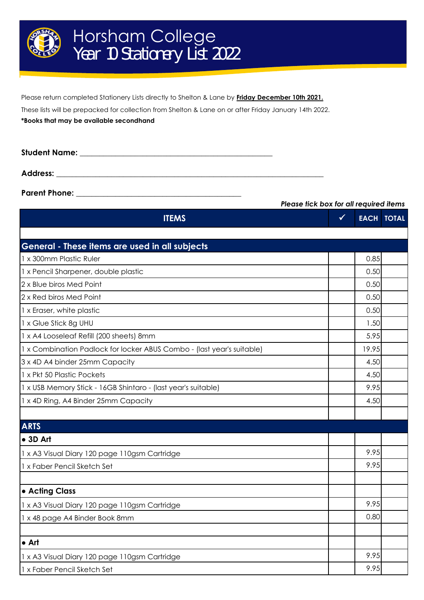

Please return completed Stationery Lists directly to Shelton & Lane by **Friday December 10th 2021.**

These lists will be prepacked for collection from Shelton & Lane on or after Friday January 14th 2022.

**\*Books that may be available secondhand**

**Student Name:**  $\blacksquare$ 

**Address: \_\_\_\_\_\_\_\_\_\_\_\_\_\_\_\_\_\_\_\_\_\_\_\_\_\_\_\_\_\_\_\_\_\_\_\_\_\_\_\_\_\_\_\_\_\_\_\_\_\_\_\_\_\_\_\_\_\_\_\_\_\_\_\_\_\_\_\_**

**Parent Phone:** 

|                                                                        | Please tick box for all required items |                   |  |
|------------------------------------------------------------------------|----------------------------------------|-------------------|--|
| <b>ITEMS</b>                                                           | $\sqrt{}$                              | <b>EACH TOTAL</b> |  |
| General - These items are used in all subjects                         |                                        |                   |  |
| 1 x 300mm Plastic Ruler                                                | 0.85                                   |                   |  |
| 1 x Pencil Sharpener, double plastic                                   | 0.50                                   |                   |  |
| 2 x Blue biros Med Point                                               | 0.50                                   |                   |  |
| 2 x Red biros Med Point                                                | 0.50                                   |                   |  |
| 1 x Eraser, white plastic                                              | 0.50                                   |                   |  |
| 1 x Glue Stick 8g UHU                                                  | 1.50                                   |                   |  |
| 1 x A4 Looseleaf Refill (200 sheets) 8mm                               | 5.95                                   |                   |  |
| 1 x Combination Padlock for locker ABUS Combo - (last year's suitable) | 19.95                                  |                   |  |
| 3 x 4D A4 binder 25mm Capacity                                         | 4.50                                   |                   |  |
| 1 x Pkt 50 Plastic Pockets                                             | 4.50                                   |                   |  |
| 1 x USB Memory Stick - 16GB Shintaro - (last year's suitable)          | 9.95                                   |                   |  |
| 1 x 4D Ring, A4 Binder 25mm Capacity                                   | 4.50                                   |                   |  |
|                                                                        |                                        |                   |  |
| <b>ARTS</b>                                                            |                                        |                   |  |
| •3D Art                                                                |                                        |                   |  |
| 1 x A3 Visual Diary 120 page 110gsm Cartridge                          | 9.95                                   |                   |  |
| 1 x Faber Pencil Sketch Set                                            | 9.95                                   |                   |  |
|                                                                        |                                        |                   |  |
| • Acting Class                                                         |                                        |                   |  |
| 1 x A3 Visual Diary 120 page 110gsm Cartridge                          | 9.95                                   |                   |  |
| 1 x 48 page A4 Binder Book 8mm                                         | 0.80                                   |                   |  |
|                                                                        |                                        |                   |  |
| $\bullet$ Art                                                          |                                        |                   |  |
| 1 x A3 Visual Diary 120 page 110gsm Cartridge                          | 9.95                                   |                   |  |
| 1 x Faber Pencil Sketch Set                                            | 9.95                                   |                   |  |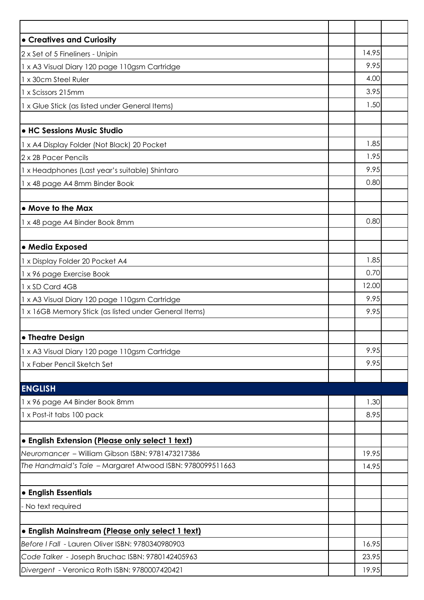| • Creatives and Curiosity                                 |       |  |
|-----------------------------------------------------------|-------|--|
| 2 x Set of 5 Fineliners - Unipin                          | 14.95 |  |
| 1 x A3 Visual Diary 120 page 110gsm Cartridge             | 9.95  |  |
| 1 x 30cm Steel Ruler                                      | 4.00  |  |
| 1 x Scissors 215mm                                        | 3.95  |  |
| 1 x Glue Stick (as listed under General Items)            | 1.50  |  |
|                                                           |       |  |
| • HC Sessions Music Studio                                |       |  |
| 1 x A4 Display Folder (Not Black) 20 Pocket               | 1.85  |  |
| 2 x 2B Pacer Pencils                                      | 1.95  |  |
| 1 x Headphones (Last year's suitable) Shintaro            | 9.95  |  |
| 1 x 48 page A4 8mm Binder Book                            | 0.80  |  |
|                                                           |       |  |
| • Move to the Max                                         |       |  |
| 1 x 48 page A4 Binder Book 8mm                            | 0.80  |  |
|                                                           |       |  |
| • Media Exposed                                           |       |  |
| 1 x Display Folder 20 Pocket A4                           | 1.85  |  |
| 1 x 96 page Exercise Book                                 | 0.70  |  |
| 1 x SD Card 4GB                                           | 12.00 |  |
| 1 x A3 Visual Diary 120 page 110gsm Cartridge             | 9.95  |  |
| 1 x 16GB Memory Stick (as listed under General Items)     | 9.95  |  |
| • Theatre Design                                          |       |  |
| 1 x A3 Visual Diary 120 page 110gsm Cartridge             | 9.95  |  |
| 1 x Faber Pencil Sketch Set                               | 9.95  |  |
| <b>ENGLISH</b>                                            |       |  |
| 1 x 96 page A4 Binder Book 8mm                            | 1.30  |  |
| 1 x Post-it tabs 100 pack                                 | 8.95  |  |
|                                                           |       |  |
| · English Extension (Please only select 1 text)           |       |  |
| Neuromancer - William Gibson ISBN: 9781473217386          | 19.95 |  |
| The Handmaid's Tale - Margaret Atwood ISBN: 9780099511663 | 14.95 |  |
| • English Essentials                                      |       |  |
| - No text required                                        |       |  |
|                                                           |       |  |
| · English Mainstream (Please only select 1 text)          |       |  |
| Before I Fall - Lauren Oliver ISBN: 9780340980903         | 16.95 |  |
| Code Talker - Joseph Bruchac ISBN: 9780142405963          | 23.95 |  |
| Divergent - Veronica Roth ISBN: 9780007420421             | 19.95 |  |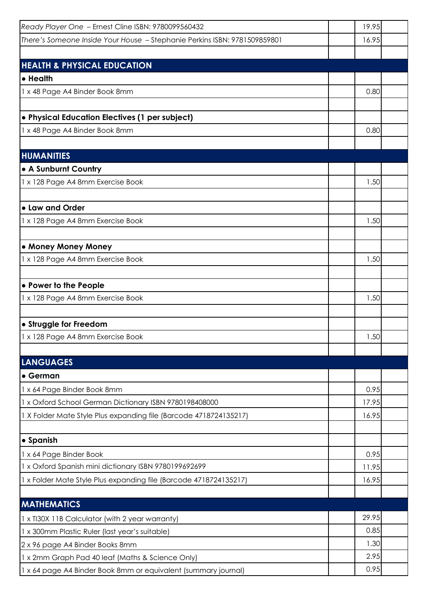| Ready Player One - Ernest Cline ISBN: 9780099560432                       | 19.95 |  |
|---------------------------------------------------------------------------|-------|--|
| There's Someone Inside Your House - Stephanie Perkins ISBN: 9781509859801 | 16.95 |  |
|                                                                           |       |  |
| <b>HEALTH &amp; PHYSICAL EDUCATION</b>                                    |       |  |
| • Health                                                                  |       |  |
| 1 x 48 Page A4 Binder Book 8mm                                            | 0.80  |  |
|                                                                           |       |  |
| • Physical Education Electives (1 per subject)                            |       |  |
| 1 x 48 Page A4 Binder Book 8mm                                            | 0.80  |  |
|                                                                           |       |  |
| <b>HUMANITIES</b>                                                         |       |  |
| • A Sunburnt Country                                                      |       |  |
| 1 x 128 Page A4 8mm Exercise Book                                         | 1.50  |  |
| • Law and Order                                                           |       |  |
| 1 x 128 Page A4 8mm Exercise Book                                         | 1.50  |  |
|                                                                           |       |  |
| • Money Money Money                                                       |       |  |
| 1 x 128 Page A4 8mm Exercise Book                                         | 1.50  |  |
|                                                                           |       |  |
| • Power to the People                                                     |       |  |
| 1 x 128 Page A4 8mm Exercise Book                                         | 1.50  |  |
|                                                                           |       |  |
| • Struggle for Freedom                                                    |       |  |
| 1 x 128 Page A4 8mm Exercise Book                                         | 1.50  |  |
|                                                                           |       |  |
| <b>LANGUAGES</b>                                                          |       |  |
| • German                                                                  |       |  |
| 1 x 64 Page Binder Book 8mm                                               | 0.95  |  |
| 1 x Oxford School German Dictionary ISBN 9780198408000                    | 17.95 |  |
| 1 X Folder Mate Style Plus expanding file (Barcode 4718724135217)         | 16.95 |  |
|                                                                           |       |  |
| • Spanish                                                                 |       |  |
| 1 x 64 Page Binder Book                                                   | 0.95  |  |
| 1 x Oxford Spanish mini dictionary ISBN 9780199692699                     | 11.95 |  |
| 1 x Folder Mate Style Plus expanding file (Barcode 4718724135217)         | 16.95 |  |
| <b>MATHEMATICS</b>                                                        |       |  |
| 1 x TI30X 11B Calculator (with 2 year warranty)                           | 29.95 |  |
| 1 x 300mm Plastic Ruler (last year's suitable)                            | 0.85  |  |
| 2 x 96 page A4 Binder Books 8mm                                           | 1.30  |  |
| 1 x 2mm Graph Pad 40 leaf (Maths & Science Only)                          | 2.95  |  |
| 1 x 64 page A4 Binder Book 8mm or equivalent (summary journal)            | 0.95  |  |